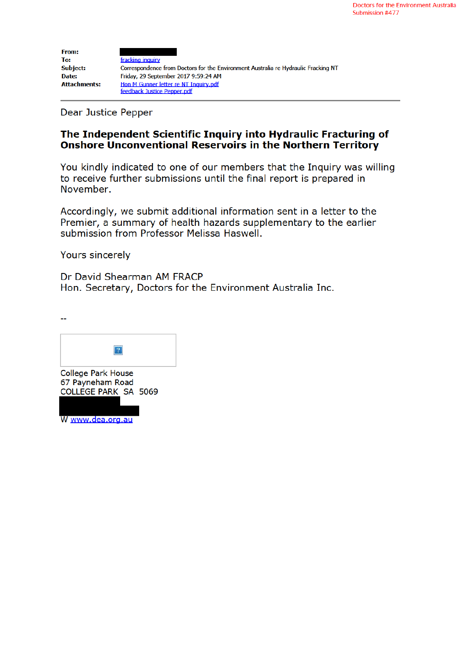| <b>From:</b>        |                                                                                    |
|---------------------|------------------------------------------------------------------------------------|
| To:                 | fracking inquiry                                                                   |
| <b>Subject:</b>     | Correspondence from Doctors for the Environment Australia re Hydraulic Fracking NT |
| Date:               | Friday, 29 September 2017 9:59:24 AM                                               |
| <b>Attachments:</b> | Hon M Gunner letter re NT Inquiry.pdf                                              |
|                     | feedback Justice Pepper.pdf                                                        |

**Dear Justice Pepper** 

# The Independent Scientific Inquiry into Hydraulic Fracturing of Onshore Unconventional Reservoirs in the Northern Territory

You kindly indicated to one of our members that the Inquiry was willing to receive further submissions until the final report is prepared in November.

Accordingly, we submit additional information sent in a letter to the Premier, a summary of health hazards supplementary to the earlier submission from Professor Melissa Haswell.

Yours sincerely

<u>.,</u>

Dr David Shearman AM FRACP Hon. Secretary, Doctors for the Environment Australia Inc.



W www.dea.org.au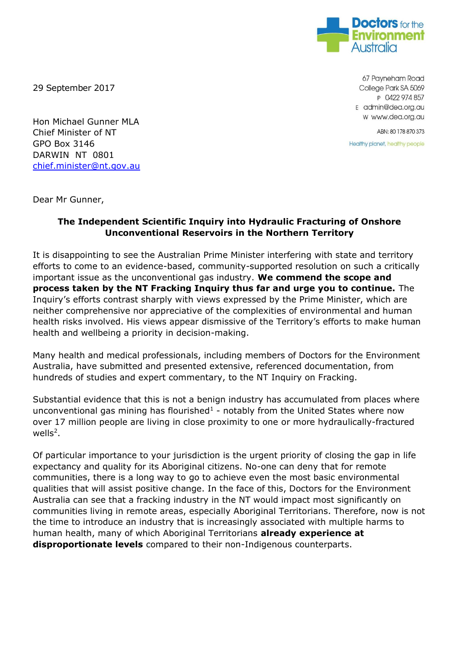

29 September 2017

Hon Michael Gunner MLA Chief Minister of NT GPO Box 3146 DARWIN NT 0801 chief.minister@nt.gov.au

67 Payneham Road College Park SA 5069 P 0422 974 857 E admin@dea.org.au w www.dea.org.au

ABN: 80 178 870 373

Healthy planet, healthy people

Dear Mr Gunner,

## **The Independent Scientific Inquiry into Hydraulic Fracturing of Onshore Unconventional Reservoirs in the Northern Territory**

It is disappointing to see the Australian Prime Minister interfering with state and territory efforts to come to an evidence-based, community-supported resolution on such a critically important issue as the unconventional gas industry. **We commend the scope and process taken by the NT Fracking Inquiry thus far and urge you to continue.** The Inquiry's efforts contrast sharply with views expressed by the Prime Minister, which are neither comprehensive nor appreciative of the complexities of environmental and human health risks involved. His views appear dismissive of the Territory's efforts to make human health and wellbeing a priority in decision-making.

Many health and medical professionals, including members of Doctors for the Environment Australia, have submitted and presented extensive, referenced documentation, from hundreds of studies and expert commentary, to the NT Inquiry on Fracking.

Substantial evidence that this is not a benign industry has accumulated from places where unconventional gas mining has flourished $<sup>1</sup>$  - notably from the United States where now</sup> over 17 million people are living in close proximity to one or more hydraulically-fractured wells $^2$ .

Of particular importance to your jurisdiction is the urgent priority of closing the gap in life expectancy and quality for its Aboriginal citizens. No-one can deny that for remote communities, there is a long way to go to achieve even the most basic environmental qualities that will assist positive change. In the face of this, Doctors for the Environment Australia can see that a fracking industry in the NT would impact most significantly on communities living in remote areas, especially Aboriginal Territorians. Therefore, now is not the time to introduce an industry that is increasingly associated with multiple harms to human health, many of which Aboriginal Territorians **already experience at disproportionate levels** compared to their non-Indigenous counterparts.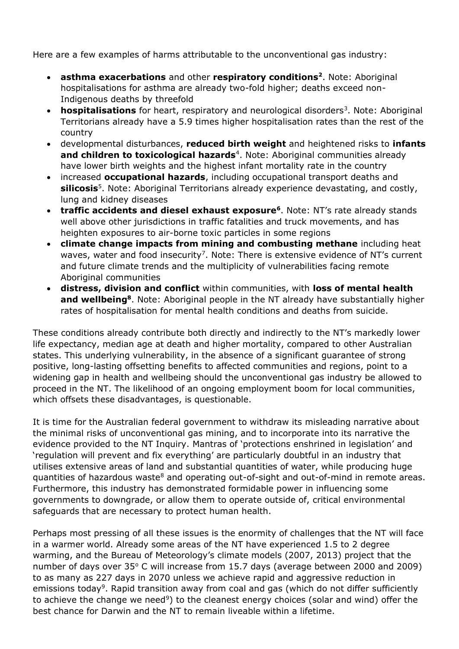Here are a few examples of harms attributable to the unconventional gas industry:

- **asthma exacerbations** and other **respiratory conditions<sup>2</sup>** . Note: Aboriginal hospitalisations for asthma are already two-fold higher; deaths exceed non-Indigenous deaths by threefold
- **hospitalisations** for heart, respiratory and neurological disorders<sup>3</sup>. Note: Aboriginal Territorians already have a 5.9 times higher hospitalisation rates than the rest of the country
- developmental disturbances, **reduced birth weight** and heightened risks to **infants**  and children to toxicological hazards<sup>4</sup>. Note: Aboriginal communities already have lower birth weights and the highest infant mortality rate in the country
- increased **occupational hazards**, including occupational transport deaths and **silicosis**<sup>5</sup> . Note: Aboriginal Territorians already experience devastating, and costly, lung and kidney diseases
- **traffic accidents and diesel exhaust exposure<sup>6</sup>. Note: NT's rate already stands** well above other jurisdictions in traffic fatalities and truck movements, and has heighten exposures to air-borne toxic particles in some regions
- **climate change impacts from mining and combusting methane** including heat waves, water and food insecurity<sup>7</sup>. Note: There is extensive evidence of NT's current and future climate trends and the multiplicity of vulnerabilities facing remote Aboriginal communities
- **distress, division and conflict** within communities, with **loss of mental health**  and wellbeing<sup>8</sup>. Note: Aboriginal people in the NT already have substantially higher rates of hospitalisation for mental health conditions and deaths from suicide.

These conditions already contribute both directly and indirectly to the NT's markedly lower life expectancy, median age at death and higher mortality, compared to other Australian states. This underlying vulnerability, in the absence of a significant guarantee of strong positive, long-lasting offsetting benefits to affected communities and regions, point to a widening gap in health and wellbeing should the unconventional gas industry be allowed to proceed in the NT. The likelihood of an ongoing employment boom for local communities, which offsets these disadvantages, is questionable.

It is time for the Australian federal government to withdraw its misleading narrative about the minimal risks of unconventional gas mining, and to incorporate into its narrative the evidence provided to the NT Inquiry. Mantras of 'protections enshrined in legislation' and 'regulation will prevent and fix everything' are particularly doubtful in an industry that utilises extensive areas of land and substantial quantities of water, while producing huge guantities of hazardous waste<sup>8</sup> and operating out-of-sight and out-of-mind in remote areas. Furthermore, this industry has demonstrated formidable power in influencing some governments to downgrade, or allow them to operate outside of, critical environmental safeguards that are necessary to protect human health.

Perhaps most pressing of all these issues is the enormity of challenges that the NT will face in a warmer world. Already some areas of the NT have experienced 1.5 to 2 degree warming, and the Bureau of Meteorology's climate models (2007, 2013) project that the number of days over  $35^{\circ}$  C will increase from 15.7 days (average between 2000 and 2009) to as many as 227 days in 2070 unless we achieve rapid and aggressive reduction in emissions today<sup>9</sup>. Rapid transition away from coal and gas (which do not differ sufficiently to achieve the change we need<sup>9</sup>) to the cleanest energy choices (solar and wind) offer the best chance for Darwin and the NT to remain liveable within a lifetime.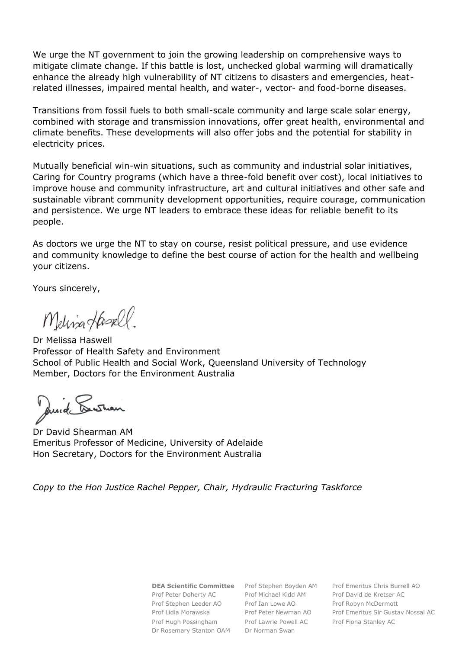We urge the NT government to join the growing leadership on comprehensive ways to mitigate climate change. If this battle is lost, unchecked global warming will dramatically enhance the already high vulnerability of NT citizens to disasters and emergencies, heatrelated illnesses, impaired mental health, and water-, vector- and food-borne diseases.

Transitions from fossil fuels to both small-scale community and large scale solar energy, combined with storage and transmission innovations, offer great health, environmental and climate benefits. These developments will also offer jobs and the potential for stability in electricity prices.

Mutually beneficial win-win situations, such as community and industrial solar initiatives, Caring for Country programs (which have a three-fold benefit over cost), local initiatives to improve house and community infrastructure, art and cultural initiatives and other safe and sustainable vibrant community development opportunities, require courage, communication and persistence. We urge NT leaders to embrace these ideas for reliable benefit to its people.

As doctors we urge the NT to stay on course, resist political pressure, and use evidence and community knowledge to define the best course of action for the health and wellbeing your citizens.

Yours sincerely,

Melina Hasell.

Dr Melissa Haswell Professor of Health Safety and Environment School of Public Health and Social Work, Queensland University of Technology Member, Doctors for the Environment Australia

Quid Lustian

Dr David Shearman AM Emeritus Professor of Medicine, University of Adelaide Hon Secretary, Doctors for the Environment Australia

*Copy to the Hon Justice Rachel Pepper, Chair, Hydraulic Fracturing Taskforce*

Prof Peter Doherty AC Prof Michael Kidd AM Prof David de Kretser AC Prof Stephen Leeder AO Prof Ian Lowe AO Prof Robyn McDermott Prof Hugh Possingham Prof Lawrie Powell AC Prof Fiona Stanley AC Dr Rosemary Stanton OAM Dr Norman Swan

**DEA Scientific Committee** Prof Stephen Boyden AM Prof Emeritus Chris Burrell AO Prof Lidia Morawska Prof Peter Newman AO Prof Emeritus Sir Gustav Nossal AC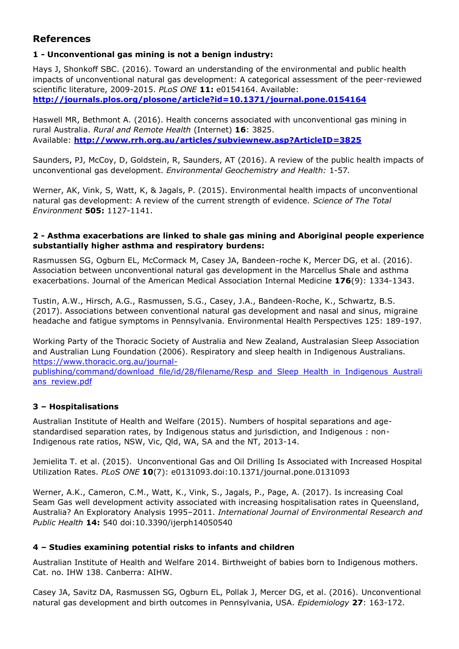# **References**

## **1 - Unconventional gas mining is not a benign industry:**

Hays J, Shonkoff SBC. (2016). Toward an understanding of the environmental and public health impacts of unconventional natural gas development: A categorical assessment of the peer-reviewed scientific literature, 2009-2015. *PLoS ONE* **11:** e0154164. Available: **http://journals.plos.org/plosone/article?id=10.1371/journal.pone.0154164**

Haswell MR, Bethmont A. (2016). Health concerns associated with unconventional gas mining in rural Australia. *Rural and Remote Health* (Internet) **16**: 3825. Available: **http://www.rrh.org.au/articles/subviewnew.asp?ArticleID=3825**

Saunders, PJ, McCoy, D, Goldstein, R, Saunders, AT (2016). A review of the public health impacts of unconventional gas development. *Environmental Geochemistry and Health:* 1-57*.* 

Werner, AK, Vink, S, Watt, K, & Jagals, P. (2015). Environmental health impacts of unconventional natural gas development: A review of the current strength of evidence. *Science of The Total Environment* **505:** 1127-1141.

#### **2 - Asthma exacerbations are linked to shale gas mining and Aboriginal people experience substantially higher asthma and respiratory burdens:**

Rasmussen SG, Ogburn EL, McCormack M, Casey JA, Bandeen-roche K, Mercer DG, et al. (2016). Association between unconventional natural gas development in the Marcellus Shale and asthma exacerbations. Journal of the American Medical Association Internal Medicine **176**(9): 1334-1343.

Tustin, A.W., Hirsch, A.G., Rasmussen, S.G., Casey, J.A., Bandeen-Roche, K., Schwartz, B.S. (2017). Associations between conventional natural gas development and nasal and sinus, migraine headache and fatigue symptoms in Pennsylvania. Environmental Health Perspectives 125: 189-197.

Working Party of the Thoracic Society of Australia and New Zealand, Australasian Sleep Association and Australian Lung Foundation (2006). Respiratory and sleep health in Indigenous Australians. https://www.thoracic.org.au/journal-

publishing/command/download file/id/28/filename/Resp and Sleep Health in Indigenous Australi ans review.pdf

## **3 – Hospitalisations**

Australian Institute of Health and Welfare (2015). Numbers of hospital separations and agestandardised separation rates, by Indigenous status and jurisdiction, and Indigenous : non-Indigenous rate ratios, NSW, Vic, Qld, WA, SA and the NT, 2013-14.

Jemielita T. et al. (2015). Unconventional Gas and Oil Drilling Is Associated with Increased Hospital Utilization Rates. *PLoS ONE* **10**(7): e0131093.doi:10.1371/journal.pone.0131093

Werner, A.K., Cameron, C.M., Watt, K., Vink, S., Jagals, P., Page, A. (2017). Is increasing Coal Seam Gas well development activity associated with increasing hospitalisation rates in Queensland, Australia? An Exploratory Analysis 1995–2011. *International Journal of Environmental Research and Public Health* **14:** 540 doi:10.3390/ijerph14050540

#### **4 – Studies examining potential risks to infants and children**

Australian Institute of Health and Welfare 2014. Birthweight of babies born to Indigenous mothers. Cat. no. IHW 138. Canberra: AIHW.

Casey JA, Savitz DA, Rasmussen SG, Ogburn EL, Pollak J, Mercer DG, et al. (2016). Unconventional natural gas development and birth outcomes in Pennsylvania, USA. *Epidemiology* **27**: 163-172.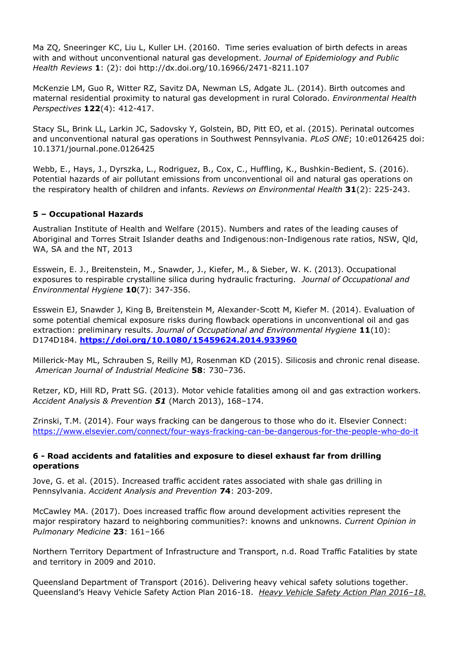Ma ZQ, Sneeringer KC, Liu L, Kuller LH. (20160. Time series evaluation of birth defects in areas with and without unconventional natural gas development. *Journal of Epidemiology and Public Health Reviews* **1**: (2): doi http://dx.doi.org/10.16966/2471-8211.107

McKenzie LM, Guo R, Witter RZ, Savitz DA, Newman LS, Adgate JL. (2014). Birth outcomes and maternal residential proximity to natural gas development in rural Colorado. *Environmental Health Perspectives* **122**(4): 412-417.

Stacy SL, Brink LL, Larkin JC, Sadovsky Y, Golstein, BD, Pitt EO, et al. (2015). Perinatal outcomes and unconventional natural gas operations in Southwest Pennsylvania. *PLoS ONE*; 10:e0126425 doi: 10.1371/journal.pone.0126425

Webb, E., Hays, J., Dyrszka, L., Rodriguez, B., Cox, C., Huffling, K., Bushkin-Bedient, S. (2016). Potential hazards of air pollutant emissions from unconventional oil and natural gas operations on the respiratory health of children and infants. *Reviews on Environmental Health* **31**(2): 225-243.

## **5 – Occupational Hazards**

Australian Institute of Health and Welfare (2015). Numbers and rates of the leading causes of Aboriginal and Torres Strait Islander deaths and Indigenous:non-Indigenous rate ratios, NSW, Qld, WA, SA and the NT, 2013

Esswein, E. J., Breitenstein, M., Snawder, J., Kiefer, M., & Sieber, W. K. (2013). Occupational exposures to respirable crystalline silica during hydraulic fracturing. *Journal of Occupational and Environmental Hygiene* **10**(7): 347-356.

Esswein EJ, Snawder J, King B, Breitenstein M, Alexander-Scott M, Kiefer M. (2014). Evaluation of some potential chemical exposure risks during flowback operations in unconventional oil and gas extraction: preliminary results. *Journal of Occupational and Environmental Hygiene* **11**(10): D174D184. **https://doi.org/10.1080/15459624.2014.933960**

Millerick-May ML, Schrauben S, Reilly MJ, Rosenman KD (2015). Silicosis and chronic renal disease. *American Journal of Industrial Medicine* **58**: 730–736.

Retzer, KD, Hill RD, Pratt SG. (2013). Motor vehicle fatalities among oil and gas extraction workers. *Accident Analysis & Prevention 51* (March 2013), 168–174.

Zrinski, T.M. (2014). Four ways fracking can be dangerous to those who do it. Elsevier Connect: https://www.elsevier.com/connect/four-ways-fracking-can-be-dangerous-for-the-people-who-do-it

## **6 - Road accidents and fatalities and exposure to diesel exhaust far from drilling operations**

Jove, G. et al. (2015). Increased traffic accident rates associated with shale gas drilling in Pennsylvania. *Accident Analysis and Prevention* **74**: 203-209.

McCawley MA. (2017). Does increased traffic flow around development activities represent the major respiratory hazard to neighboring communities?: knowns and unknowns. *Current Opinion in Pulmonary Medicine* **23**: 161–166

Northern Territory Department of Infrastructure and Transport, n.d. Road Traffic Fatalities by state and territory in 2009 and 2010.

Queensland Department of Transport (2016). Delivering heavy vehical safety solutions together. Queensland's Heavy Vehicle Safety Action Plan 2016-18. *Heavy Vehicle Safety Action Plan 2016–18.*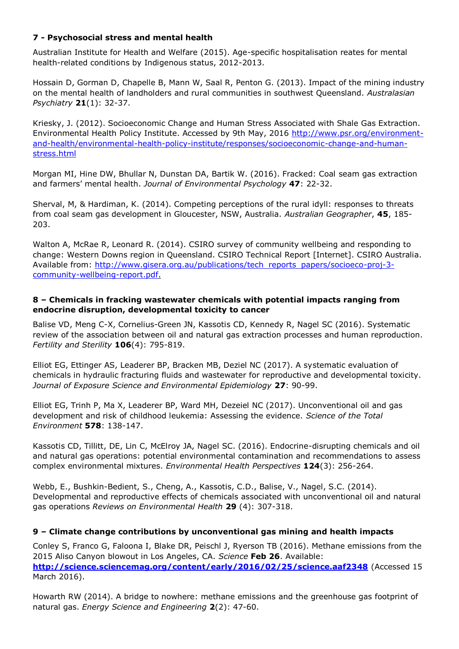## **7 - Psychosocial stress and mental health**

Australian Institute for Health and Welfare (2015). Age-specific hospitalisation reates for mental health-related conditions by Indigenous status, 2012-2013.

Hossain D, Gorman D, Chapelle B, Mann W, Saal R, Penton G. (2013). Impact of the mining industry on the mental health of landholders and rural communities in southwest Queensland. *Australasian Psychiatry* **21**(1): 32-37.

Kriesky, J. (2012). Socioeconomic Change and Human Stress Associated with Shale Gas Extraction. Environmental Health Policy Institute. Accessed by 9th May, 2016 http://www.psr.org/environmentand-health/environmental-health-policy-institute/responses/socioeconomic-change-and-humanstress.html

Morgan MI, Hine DW, Bhullar N, Dunstan DA, Bartik W. (2016). Fracked: Coal seam gas extraction and farmers' mental health. *Journal of Environmental Psychology* **47**: 22-32.

Sherval, M, & Hardiman, K. (2014). Competing perceptions of the rural idyll: responses to threats from coal seam gas development in Gloucester, NSW, Australia. *Australian Geographer*, **45**, 185- 203.

Walton A, McRae R, Leonard R. (2014). CSIRO survey of community wellbeing and responding to change: Western Downs region in Queensland. CSIRO Technical Report [Internet]. CSIRO Australia. Available from: http://www.gisera.org.au/publications/tech reports papers/socioeco-proj-3 community-wellbeing-report.pdf.

#### **8 – Chemicals in fracking wastewater chemicals with potential impacts ranging from endocrine disruption, developmental toxicity to cancer**

Balise VD, Meng C-X, Cornelius-Green JN, Kassotis CD, Kennedy R, Nagel SC (2016). Systematic review of the association between oil and natural gas extraction processes and human reproduction. *Fertility and Sterility* **106**(4): 795-819.

Elliot EG, Ettinger AS, Leaderer BP, Bracken MB, Deziel NC (2017). A systematic evaluation of chemicals in hydraulic fracturing fluids and wastewater for reproductive and developmental toxicity. *Journal of Exposure Science and Environmental Epidemiology* **27**: 90-99.

Elliot EG, Trinh P, Ma X, Leaderer BP, Ward MH, Dezeiel NC (2017). Unconventional oil and gas development and risk of childhood leukemia: Assessing the evidence. *Science of the Total Environment* **578**: 138-147.

Kassotis CD, Tillitt, DE, Lin C, McElroy JA, Nagel SC. (2016). Endocrine-disrupting chemicals and oil and natural gas operations: potential environmental contamination and recommendations to assess complex environmental mixtures. *Environmental Health Perspectives* **124**(3): 256-264.

Webb, E., Bushkin-Bedient, S., Cheng, A., Kassotis, C.D., Balise, V., Nagel, S.C. (2014). Developmental and reproductive effects of chemicals associated with unconventional oil and natural gas operations *Reviews on Environmental Health* **29** (4): 307-318.

## **9 – Climate change contributions by unconventional gas mining and health impacts**

Conley S, Franco G, Faloona I, Blake DR, Peischl J, Ryerson TB (2016). Methane emissions from the 2015 Aliso Canyon blowout in Los Angeles, CA. *Science* **Feb 26**. Available: **http://science.sciencemag.org/content/early/2016/02/25/science.aaf2348** (Accessed 15 March 2016).

Howarth RW (2014). A bridge to nowhere: methane emissions and the greenhouse gas footprint of natural gas. *Energy Science and Engineering* **2**(2): 47-60.